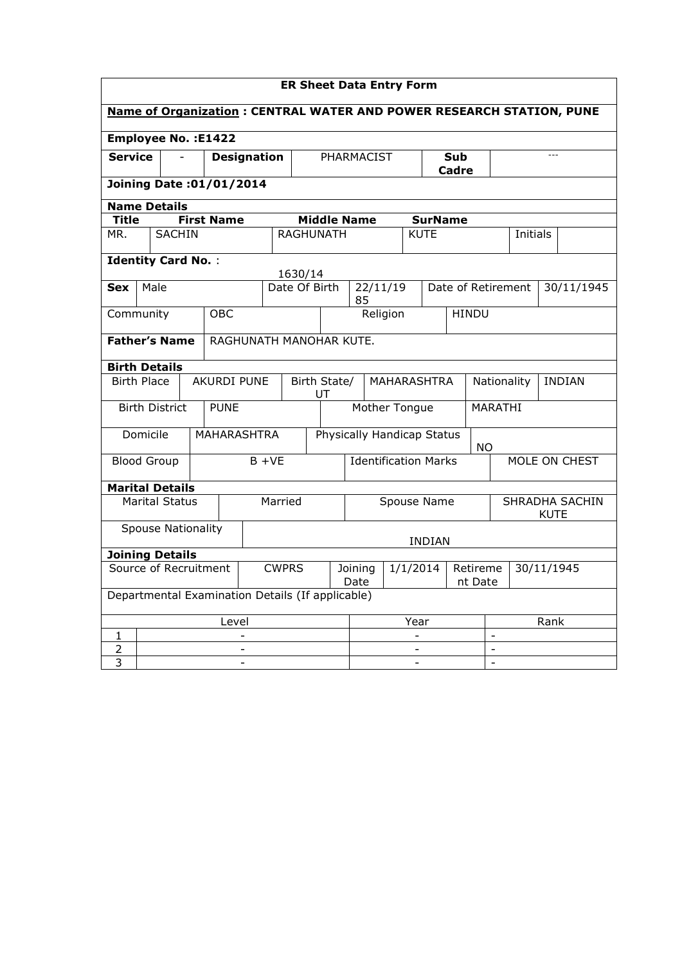| <b>ER Sheet Data Entry Form</b>                                             |                                                 |                           |  |                          |          |                                                                  |               |                             |                                              |                          |          |                |                |                    |                |                 |               |            |
|-----------------------------------------------------------------------------|-------------------------------------------------|---------------------------|--|--------------------------|----------|------------------------------------------------------------------|---------------|-----------------------------|----------------------------------------------|--------------------------|----------|----------------|----------------|--------------------|----------------|-----------------|---------------|------------|
| <b>Name of Organization: CENTRAL WATER AND POWER RESEARCH STATION, PUNE</b> |                                                 |                           |  |                          |          |                                                                  |               |                             |                                              |                          |          |                |                |                    |                |                 |               |            |
| <b>Employee No.: E1422</b>                                                  |                                                 |                           |  |                          |          |                                                                  |               |                             |                                              |                          |          |                |                |                    |                |                 |               |            |
| <b>Service</b>                                                              |                                                 |                           |  | <b>Designation</b>       |          |                                                                  |               |                             |                                              | PHARMACIST               |          |                | Sub<br>Cadre   |                    |                |                 |               |            |
|                                                                             |                                                 |                           |  | Joining Date: 01/01/2014 |          |                                                                  |               |                             |                                              |                          |          |                |                |                    |                |                 |               |            |
| <b>Name Details</b>                                                         |                                                 |                           |  |                          |          |                                                                  |               |                             |                                              |                          |          |                |                |                    |                |                 |               |            |
| <b>Title</b>                                                                |                                                 |                           |  | <b>First Name</b>        |          |                                                                  |               | <b>Middle Name</b>          |                                              |                          |          | <b>SurName</b> |                |                    |                |                 |               |            |
| MR.                                                                         |                                                 | <b>SACHIN</b>             |  |                          |          |                                                                  | RAGHUNATH     |                             |                                              |                          |          | <b>KUTE</b>    |                |                    |                | <b>Initials</b> |               |            |
| <b>Identity Card No.:</b><br>1630/14                                        |                                                 |                           |  |                          |          |                                                                  |               |                             |                                              |                          |          |                |                |                    |                |                 |               |            |
| <b>Sex</b>                                                                  | Male                                            |                           |  |                          |          |                                                                  | Date Of Birth |                             | 85                                           |                          | 22/11/19 |                |                | Date of Retirement |                |                 |               | 30/11/1945 |
| Community                                                                   |                                                 |                           |  | <b>OBC</b>               |          |                                                                  |               |                             |                                              | Religion<br><b>HINDU</b> |          |                |                |                    |                |                 |               |            |
|                                                                             | <b>Father's Name</b><br>RAGHUNATH MANOHAR KUTE. |                           |  |                          |          |                                                                  |               |                             |                                              |                          |          |                |                |                    |                |                 |               |            |
| <b>Birth Details</b>                                                        |                                                 |                           |  |                          |          |                                                                  |               |                             |                                              |                          |          |                |                |                    |                |                 |               |            |
| <b>Birth Place</b>                                                          |                                                 |                           |  | AKURDI PUNE              |          | Birth State/<br>UT                                               |               |                             |                                              | <b>MAHARASHTRA</b>       |          |                | Nationality    |                    |                |                 | <b>INDIAN</b> |            |
|                                                                             |                                                 | <b>Birth District</b>     |  | <b>PUNE</b>              |          |                                                                  |               |                             |                                              | Mother Tongue            |          |                |                |                    | MARATHI        |                 |               |            |
|                                                                             | Domicile                                        |                           |  |                          |          | <b>MAHARASHTRA</b>                                               |               |                             | Physically Handicap Status                   |                          |          | <b>NO</b>      |                |                    |                |                 |               |            |
| <b>Blood Group</b>                                                          |                                                 |                           |  |                          | $B + VE$ |                                                                  |               | <b>Identification Marks</b> |                                              |                          |          | MOLE ON CHEST  |                |                    |                |                 |               |            |
| <b>Marital Details</b>                                                      |                                                 |                           |  |                          |          |                                                                  |               |                             |                                              |                          |          |                |                |                    |                |                 |               |            |
|                                                                             |                                                 | <b>Marital Status</b>     |  |                          |          | Married                                                          |               |                             | Spouse Name<br>SHRADHA SACHIN<br><b>KUTE</b> |                          |          |                |                |                    |                |                 |               |            |
|                                                                             |                                                 | <b>Spouse Nationality</b> |  |                          |          |                                                                  |               |                             |                                              |                          |          | <b>INDIAN</b>  |                |                    |                |                 |               |            |
| <b>Joining Details</b>                                                      |                                                 |                           |  |                          |          |                                                                  |               |                             |                                              |                          |          |                |                |                    |                |                 |               |            |
| Source of Recruitment<br><b>CWPRS</b>                                       |                                                 |                           |  |                          |          | 1/1/2014<br>Retireme<br>30/11/1945<br>Joining<br>Date<br>nt Date |               |                             |                                              |                          |          |                |                |                    |                |                 |               |            |
| Departmental Examination Details (If applicable)                            |                                                 |                           |  |                          |          |                                                                  |               |                             |                                              |                          |          |                |                |                    |                |                 |               |            |
| Level                                                                       |                                                 |                           |  |                          |          | Year                                                             |               |                             |                                              | Rank                     |          |                |                |                    |                |                 |               |            |
| 1                                                                           |                                                 |                           |  |                          | ÷.       |                                                                  |               |                             |                                              |                          |          |                |                |                    | $\blacksquare$ |                 |               |            |
| 2<br>3                                                                      |                                                 |                           |  |                          |          |                                                                  |               |                             |                                              |                          |          |                |                |                    |                |                 |               |            |
|                                                                             |                                                 |                           |  |                          |          |                                                                  |               |                             |                                              | $\blacksquare$           |          |                | $\blacksquare$ |                    |                |                 |               |            |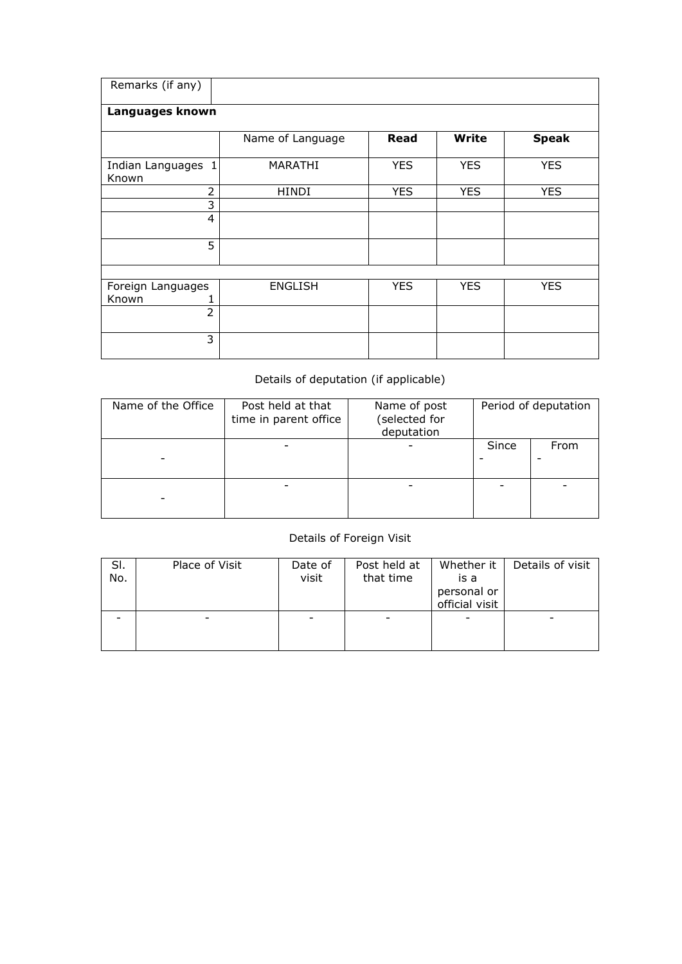| Remarks (if any)            |                  |            |              |              |
|-----------------------------|------------------|------------|--------------|--------------|
| Languages known             |                  |            |              |              |
|                             | Name of Language | Read       | <b>Write</b> | <b>Speak</b> |
| Indian Languages 1<br>Known | <b>MARATHI</b>   | <b>YES</b> | <b>YES</b>   | <b>YES</b>   |
| $\overline{2}$              | <b>HINDI</b>     | <b>YES</b> | <b>YES</b>   | <b>YES</b>   |
| 3                           |                  |            |              |              |
| $\overline{4}$              |                  |            |              |              |
| 5                           |                  |            |              |              |
|                             |                  |            |              |              |
| Foreign Languages<br>Known  | <b>ENGLISH</b>   | <b>YES</b> | <b>YES</b>   | <b>YES</b>   |
| $\overline{2}$              |                  |            |              |              |
| 3                           |                  |            |              |              |

## Details of deputation (if applicable)

| Name of the Office | Post held at that<br>time in parent office | Name of post<br>(selected for<br>deputation | Period of deputation |      |  |  |
|--------------------|--------------------------------------------|---------------------------------------------|----------------------|------|--|--|
|                    |                                            |                                             | Since                | From |  |  |
|                    |                                            |                                             |                      |      |  |  |

## Details of Foreign Visit

| SI.<br>No. | Place of Visit | Date of<br>visit | Post held at<br>that time | Whether it<br>is a<br>personal or<br>official visit | Details of visit |
|------------|----------------|------------------|---------------------------|-----------------------------------------------------|------------------|
|            |                |                  |                           |                                                     |                  |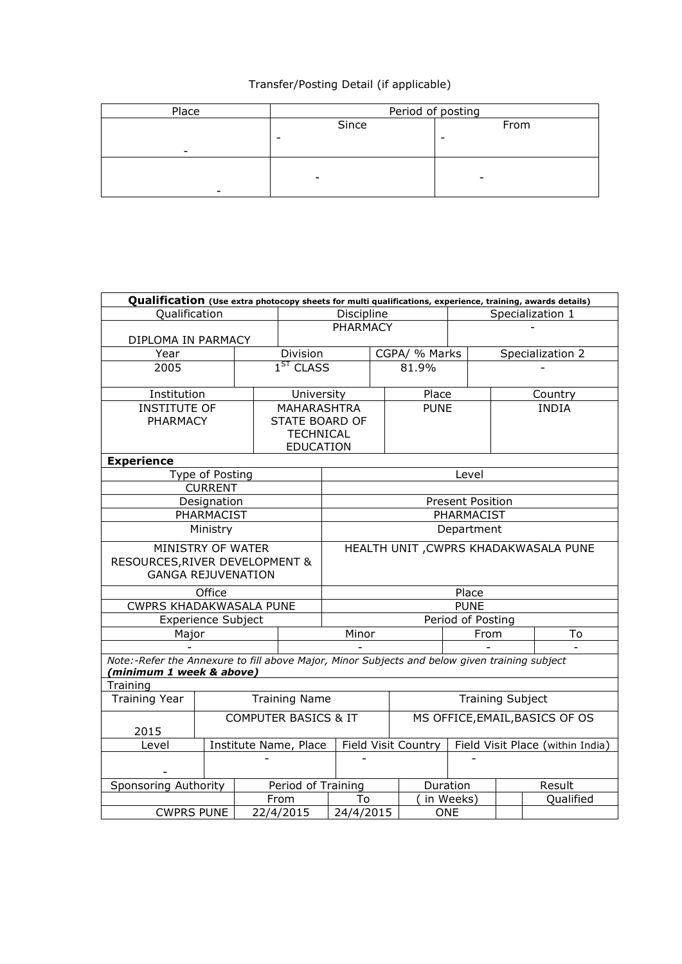## Transfer/Posting Detail (if applicable)

| Place                    | Period of posting        |      |  |  |  |  |  |
|--------------------------|--------------------------|------|--|--|--|--|--|
|                          | Since                    | From |  |  |  |  |  |
|                          | -                        |      |  |  |  |  |  |
|                          |                          |      |  |  |  |  |  |
|                          |                          |      |  |  |  |  |  |
|                          | $\overline{\phantom{a}}$ | -    |  |  |  |  |  |
| $\overline{\phantom{0}}$ |                          |      |  |  |  |  |  |

| Qualification (Use extra photocopy sheets for multi qualifications, experience, training, awards details) |                               |                         |                    |                                       |  |                     |                                  |                  |                                |  |  |
|-----------------------------------------------------------------------------------------------------------|-------------------------------|-------------------------|--------------------|---------------------------------------|--|---------------------|----------------------------------|------------------|--------------------------------|--|--|
| Qualification                                                                                             |                               |                         |                    | Discipline                            |  |                     | Specialization 1                 |                  |                                |  |  |
|                                                                                                           |                               |                         |                    | <b>PHARMACY</b>                       |  |                     |                                  |                  |                                |  |  |
| DIPLOMA IN PARMACY                                                                                        |                               |                         |                    |                                       |  |                     |                                  |                  |                                |  |  |
| Year                                                                                                      |                               |                         | Division           |                                       |  | CGPA/ % Marks       |                                  | Specialization 2 |                                |  |  |
| 2005                                                                                                      |                               |                         | $1ST$ CLASS        |                                       |  | 81.9%               |                                  |                  |                                |  |  |
|                                                                                                           |                               |                         |                    |                                       |  |                     |                                  |                  |                                |  |  |
| Institution                                                                                               |                               |                         | University         |                                       |  | Place               |                                  |                  | Country                        |  |  |
| <b>INSTITUTE OF</b>                                                                                       |                               |                         | MAHARASHTRA        |                                       |  | <b>PUNE</b>         |                                  |                  | <b>INDIA</b>                   |  |  |
| <b>PHARMACY</b>                                                                                           |                               |                         | STATE BOARD OF     |                                       |  |                     |                                  |                  |                                |  |  |
|                                                                                                           |                               |                         | <b>TECHNICAL</b>   |                                       |  |                     |                                  |                  |                                |  |  |
|                                                                                                           |                               |                         | <b>EDUCATION</b>   |                                       |  |                     |                                  |                  |                                |  |  |
| <b>Experience</b>                                                                                         |                               |                         |                    |                                       |  |                     |                                  |                  |                                |  |  |
|                                                                                                           | Type of Posting               |                         |                    |                                       |  |                     | Level                            |                  |                                |  |  |
|                                                                                                           | <b>CURRENT</b><br>Designation |                         |                    |                                       |  |                     |                                  |                  |                                |  |  |
|                                                                                                           |                               | <b>Present Position</b> |                    |                                       |  |                     |                                  |                  |                                |  |  |
| PHARMACIST                                                                                                |                               |                         |                    | PHARMACIST                            |  |                     |                                  |                  |                                |  |  |
|                                                                                                           | Ministry                      |                         |                    | Department                            |  |                     |                                  |                  |                                |  |  |
| MINISTRY OF WATER                                                                                         |                               |                         |                    | HEALTH UNIT , CWPRS KHADAKWASALA PUNE |  |                     |                                  |                  |                                |  |  |
| RESOURCES, RIVER DEVELOPMENT &                                                                            |                               |                         |                    |                                       |  |                     |                                  |                  |                                |  |  |
| <b>GANGA REJUVENATION</b>                                                                                 |                               |                         |                    |                                       |  |                     |                                  |                  |                                |  |  |
|                                                                                                           | Office                        |                         |                    | Place                                 |  |                     |                                  |                  |                                |  |  |
| CWPRS KHADAKWASALA PUNE                                                                                   |                               |                         |                    | <b>PUNE</b>                           |  |                     |                                  |                  |                                |  |  |
| <b>Experience Subject</b>                                                                                 |                               |                         |                    | Period of Posting                     |  |                     |                                  |                  |                                |  |  |
| Major                                                                                                     |                               |                         |                    | Minor                                 |  |                     | From                             |                  | To                             |  |  |
|                                                                                                           |                               |                         |                    |                                       |  |                     |                                  |                  |                                |  |  |
| Note:-Refer the Annexure to fill above Major, Minor Subjects and below given training subject             |                               |                         |                    |                                       |  |                     |                                  |                  |                                |  |  |
| (minimum 1 week & above)                                                                                  |                               |                         |                    |                                       |  |                     |                                  |                  |                                |  |  |
| Training                                                                                                  |                               |                         |                    |                                       |  |                     |                                  |                  |                                |  |  |
| <b>Training Year</b><br><b>Training Name</b>                                                              |                               |                         |                    | <b>Training Subject</b>               |  |                     |                                  |                  |                                |  |  |
| <b>COMPUTER BASICS &amp; IT</b>                                                                           |                               |                         |                    |                                       |  |                     |                                  |                  | MS OFFICE, EMAIL, BASICS OF OS |  |  |
| 2015                                                                                                      |                               |                         |                    |                                       |  |                     |                                  |                  |                                |  |  |
| Institute Name, Place<br>Level                                                                            |                               |                         |                    |                                       |  | Field Visit Country | Field Visit Place (within India) |                  |                                |  |  |
|                                                                                                           |                               |                         |                    |                                       |  |                     |                                  |                  |                                |  |  |
|                                                                                                           |                               |                         |                    |                                       |  |                     |                                  |                  |                                |  |  |
| Sponsoring Authority                                                                                      |                               |                         | Period of Training |                                       |  |                     | Duration                         |                  | Result                         |  |  |
|                                                                                                           |                               |                         | From               | To                                    |  | in Weeks)           |                                  |                  | Qualified                      |  |  |
| <b>CWPRS PUNE</b>                                                                                         |                               |                         | 22/4/2015          | 24/4/2015                             |  |                     | <b>ONE</b>                       |                  |                                |  |  |